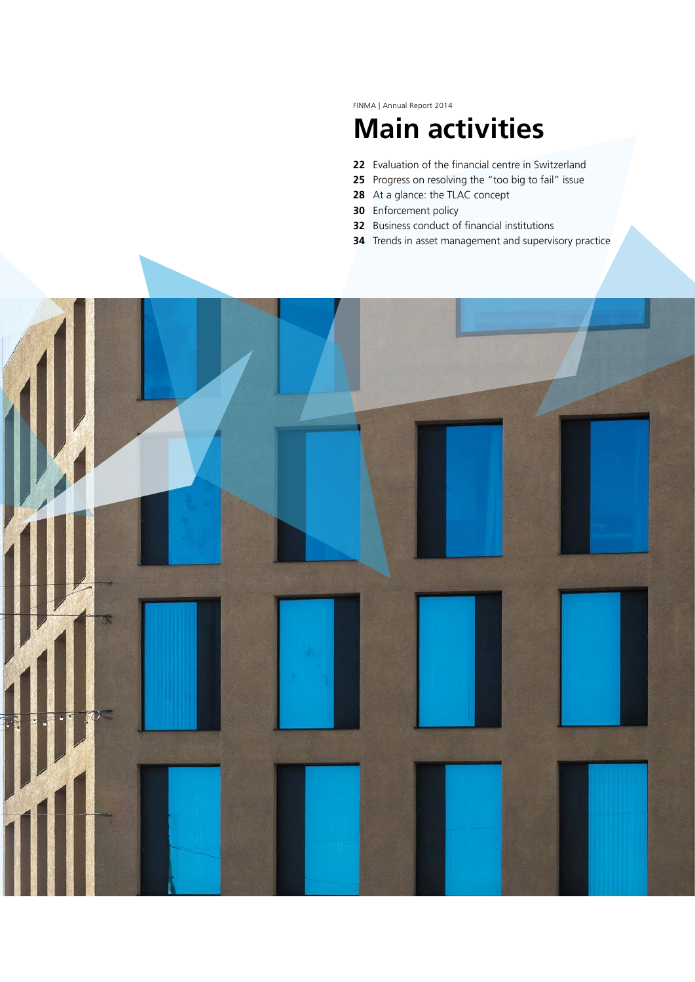FINMA | Annual Report 2014

# **Main activities**

- Evaluation of the financial centre in Switzerland
- Progress on resolving the "too big to fail" issue
- At a glance: the TLAC concept
- Enforcement policy
- Business conduct of financial institutions
- Trends in asset management and supervisory practice

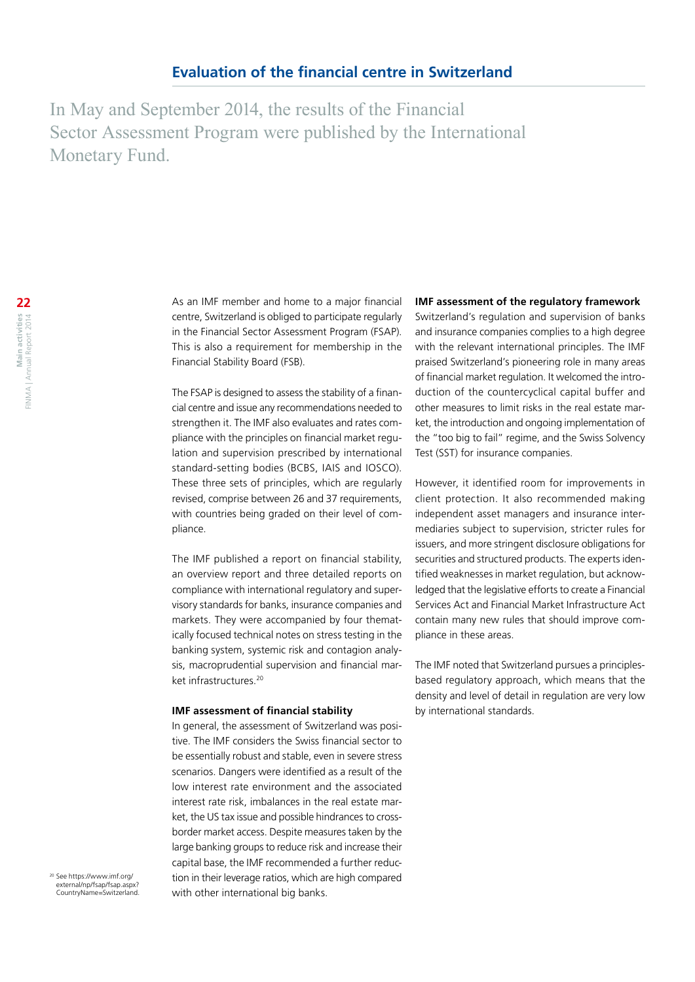In May and September 2014, the results of the Financial Sector Assessment Program were published by the International Monetary Fund.

As an IMF member and home to a major financial centre, Switzerland is obliged to participate regularly in the Financial Sector Assessment Program (FSAP). This is also a requirement for membership in the Financial Stability Board (FSB).

The FSAP is designed to assess the stability of a financial centre and issue any recommendations needed to strengthen it. The IMF also evaluates and rates compliance with the principles on financial market regulation and supervision prescribed by international standard-setting bodies (BCBS, IAIS and IOSCO). These three sets of principles, which are regularly revised, comprise between 26 and 37 requirements, with countries being graded on their level of compliance.

The IMF published a report on financial stability, an overview report and three detailed reports on compliance with international regulatory and supervisory standards for banks, insurance companies and markets. They were accompanied by four thematically focused technical notes on stress testing in the banking system, systemic risk and contagion analysis, macroprudential supervision and financial market infrastructures<sup>20</sup>

#### **IMF assessment of financial stability**

In general, the assessment of Switzerland was positive. The IMF considers the Swiss financial sector to be essentially robust and stable, even in severe stress scenarios. Dangers were identified as a result of the low interest rate environment and the associated interest rate risk, imbalances in the real estate market, the US tax issue and possible hindrances to crossborder market access. Despite measures taken by the large banking groups to reduce risk and increase their capital base, the IMF recommended a further reduction in their leverage ratios, which are high compared with other international big banks.

#### **IMF assessment of the regulatory framework**

Switzerland's regulation and supervision of banks and insurance companies complies to a high degree with the relevant international principles. The IMF praised Switzerland's pioneering role in many areas of financial market regulation. It welcomed the introduction of the countercyclical capital buffer and other measures to limit risks in the real estate market, the introduction and ongoing implementation of the "too big to fail" regime, and the Swiss Solvency Test (SST) for insurance companies.

However, it identified room for improvements in client protection. It also recommended making independent asset managers and insurance intermediaries subject to supervision, stricter rules for issuers, and more stringent disclosure obligations for securities and structured products. The experts identified weaknesses in market regulation, but acknowledged that the legislative efforts to create a Financial Services Act and Financial Market Infrastructure Act contain many new rules that should improve compliance in these areas.

The IMF noted that Switzerland pursues a principlesbased regulatory approach, which means that the density and level of detail in regulation are very low by international standards.

<sup>20</sup> See [https://www.imf.org/](https://www.imf.org/external/np/fsap/fsap.aspx?CountryName=Switzerland) [external/np/fsap/fsap.aspx?](https://www.imf.org/external/np/fsap/fsap.aspx?CountryName=Switzerland) [CountryName=Switzerland](https://www.imf.org/external/np/fsap/fsap.aspx?CountryName=Switzerland).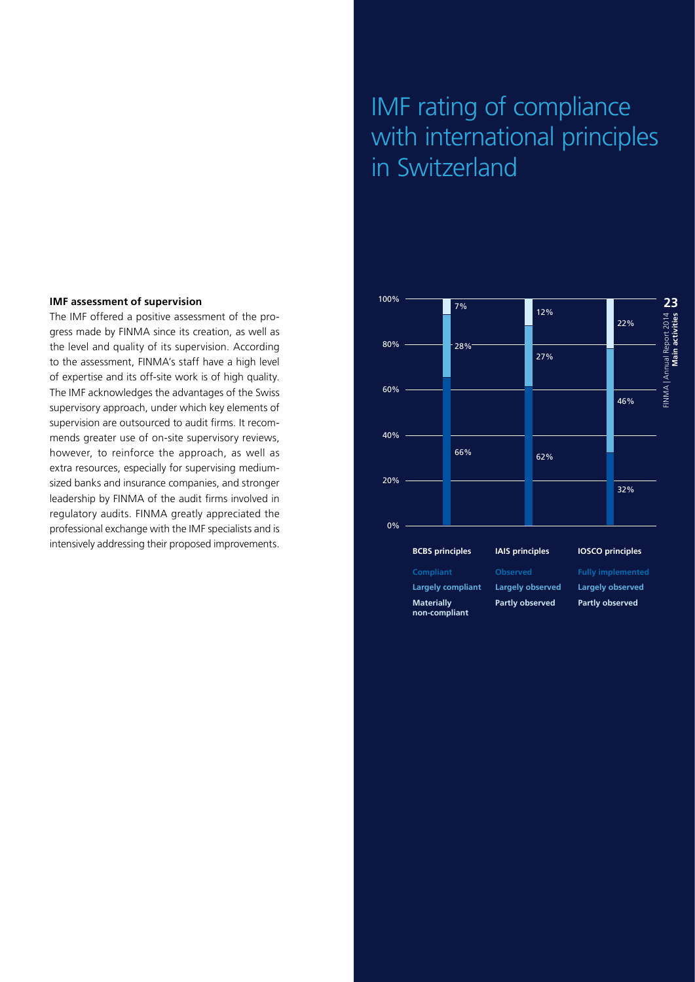#### **IMF assessment of supervision**

The IMF offered a positive assessment of the progress made by FINMA since its creation, as well as the level and quality of its supervision. According to the assessment, FINMA's staff have a high level of expertise and its off-site work is of high quality. The IMF acknowledges the advantages of the Swiss supervisory approach, under which key elements of supervision are outsourced to audit firms. It recommends greater use of on-site supervisory reviews, however, to reinforce the approach, as well as extra resources, especially for supervising mediumsized banks and insurance companies, and stronger leadership by FINMA of the audit firms involved in regulatory audits. FINMA greatly appreciated the professional exchange with the IMF specialists and is intensively addressing their proposed improvements.

## IMF rating of compliance with international principles in Switzerland

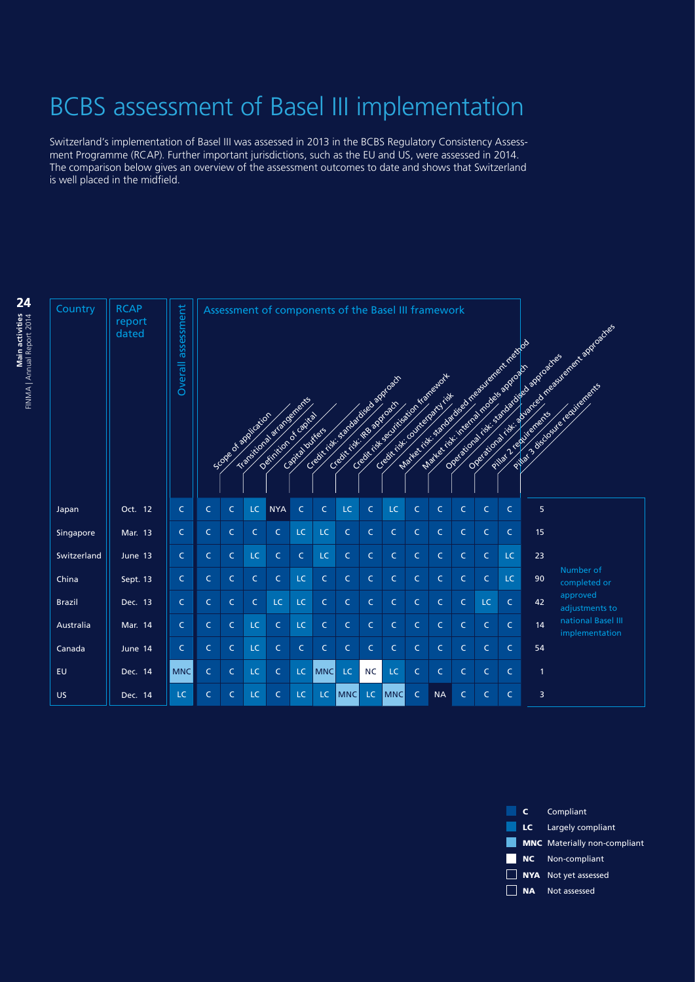# BCBS assessment of Basel III implementation

Switzerland's implementation of Basel III was assessed in 2013 in the BCBS Regulatory Consistency Assessment Programme (RCAP). Further important jurisdictions, such as the EU and US, were assessed in 2014. The comparison below gives an overview of the assessment outcomes to date and shows that Switzerland is well placed in the midfield.

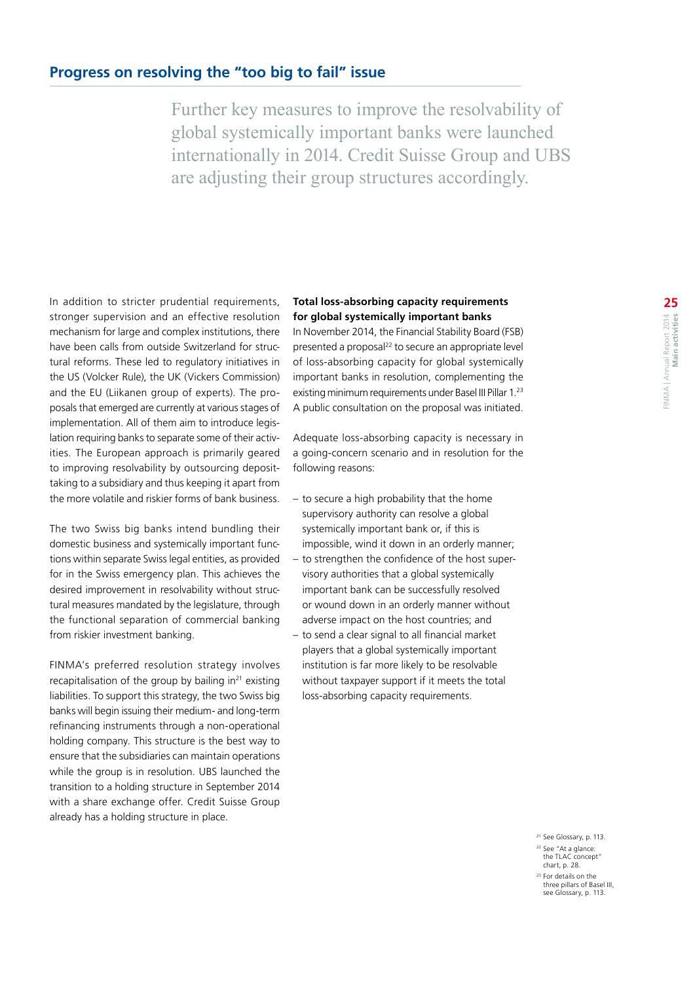Further key measures to improve the resolvability of global systemically important banks were launched internationally in 2014. Credit Suisse Group and UBS are adjusting their group structures accordingly.

In addition to stricter prudential requirements, stronger supervision and an effective resolution mechanism for large and complex institutions, there have been calls from outside Switzerland for structural reforms. These led to regulatory initiatives in the US (Volcker Rule), the UK (Vickers Commission) and the EU (Liikanen group of experts). The proposals that emerged are currently at various stages of implementation. All of them aim to introduce legislation requiring banks to separate some of their activities. The European approach is primarily geared to improving resolvability by outsourcing deposittaking to a subsidiary and thus keeping it apart from the more volatile and riskier forms of bank business.

The two Swiss big banks intend bundling their domestic business and systemically important functions within separate Swiss legal entities, as provided for in the Swiss emergency plan. This achieves the desired improvement in resolvability without structural measures mandated by the legislature, through the functional separation of commercial banking from riskier investment banking.

FINMA's preferred resolution strategy involves recapitalisation of the group by bailing in $21$  existing liabilities. To support this strategy, the two Swiss big banks will begin issuing their medium- and long-term refinancing instruments through a non-operational holding company. This structure is the best way to ensure that the subsidiaries can maintain operations while the group is in resolution. UBS launched the transition to a holding structure in September 2014 with a share exchange offer. Credit Suisse Group already has a holding structure in place.

#### **Total loss-absorbing capacity requirements for global systemically important banks**

In November 2014, the Financial Stability Board (FSB) presented a proposal<sup>22</sup> to secure an appropriate level of loss-absorbing capacity for global systemically important banks in resolution, complementing the existing minimum requirements under Basel III Pillar 1.23 A public consultation on the proposal was initiated.

Adequate loss-absorbing capacity is necessary in a going-concern scenario and in resolution for the following reasons:

- to secure a high probability that the home supervisory authority can resolve a global systemically important bank or, if this is impossible, wind it down in an orderly manner;
- to strengthen the confidence of the host supervisory authorities that a global systemically important bank can be successfully resolved or wound down in an orderly manner without adverse impact on the host countries; and
- to send a clear signal to all financial market players that a global systemically important institution is far more likely to be resolvable without taxpayer support if it meets the total loss-absorbing capacity requirements.

<sup>21</sup> [See Glossary, p.](#page-25-0) 113. <sup>22</sup> See "At a glance: the TLAC concept" chart, p. 28. <sup>23</sup> [For details on the](#page-25-0)  [three pillars of Basel III,](#page-25-0)  [see Glossary, p. 113.](#page-25-0)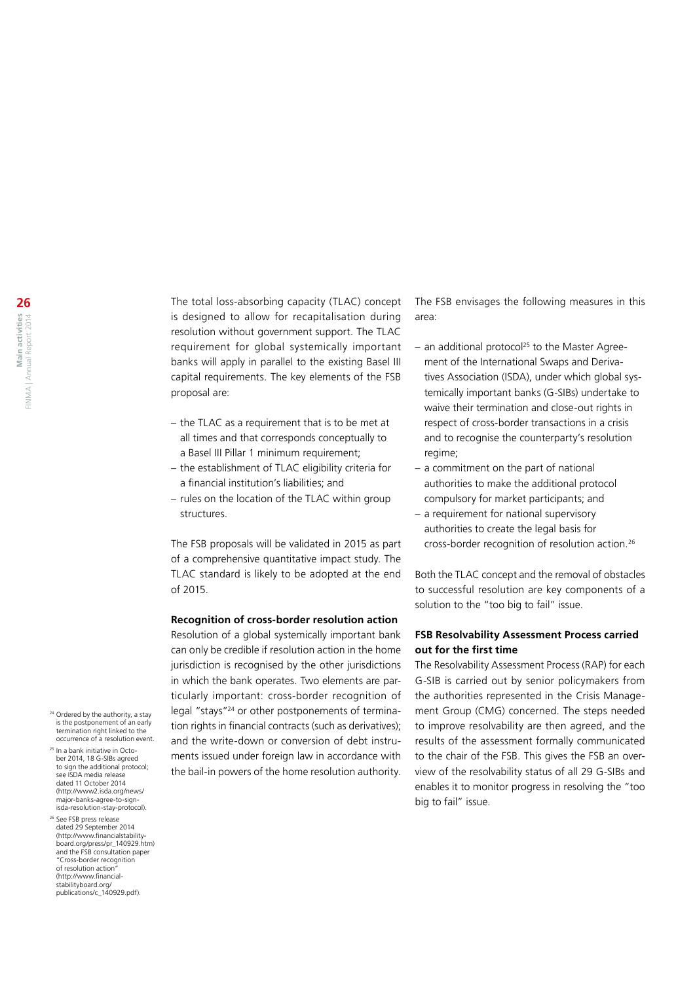The total loss-absorbing capacity (TLAC) concept is designed to allow for recapitalisation during resolution without government support. The TLAC requirement for global systemically important banks will apply in parallel to the existing Basel III capital requirements. The key elements of the FSB proposal are:

- the TLAC as a requirement that is to be met at all times and that corresponds conceptually to a Basel III Pillar 1 minimum requirement;
- the establishment of TLAC eligibility criteria for a financial institution's liabilities; and
- rules on the location of the TLAC within group structures.

The FSB proposals will be validated in 2015 as part of a comprehensive quantitative impact study. The TLAC standard is likely to be adopted at the end of 2015.

#### **Recognition of cross-border resolution action**

Resolution of a global systemically important bank can only be credible if resolution action in the home jurisdiction is recognised by the other jurisdictions in which the bank operates. Two elements are particularly important: cross-border recognition of legal "stays"24 or other postponements of termination rights in financial contracts (such as derivatives); and the write-down or conversion of debt instruments issued under foreign law in accordance with the bail-in powers of the home resolution authority.

The FSB envisages the following measures in this area:

- $-$  an additional protocol<sup>25</sup> to the Master Agreement of the International Swaps and Derivatives Association (ISDA), under which global systemically important banks (G-SIBs) undertake to waive their termination and close-out rights in respect of cross-border transactions in a crisis and to recognise the counterparty's resolution regime;
- a commitment on the part of national authorities to make the additional protocol compulsory for market participants; and
- a requirement for national supervisory authorities to create the legal basis for cross-border recognition of resolution action.<sup>26</sup>

Both the TLAC concept and the removal of obstacles to successful resolution are key components of a solution to the "too big to fail" issue.

#### **FSB Resolvability Assessment Process carried out for the first time**

The Resolvability Assessment Process (RAP) for each G-SIB is carried out by senior policymakers from the authorities represented in the Crisis Management Group (CMG) concerned. The steps needed to improve resolvability are then agreed, and the results of the assessment formally communicated to the chair of the FSB. This gives the FSB an overview of the resolvability status of all 29 G-SIBs and enables it to monitor progress in resolving the "too big to fail" issue.

- <sup>24</sup> Ordered by the authority, a stay is the postponement of an early termination right linked to the occurrence of a resolution event.
- <sup>25</sup> In a bank initiative in October 2014, 18 G-SIBs agreed to sign the additional protocol: see ISDA media release dated 11 October 2014 ([http://www2.isda.org/news/](http://www2.isda.org/news/major-banks-agree-to-sign-isda-resolution-stay-protocol) [major-banks-agree-to-sign](http://www2.isda.org/news/major-banks-agree-to-sign-isda-resolution-stay-protocol)[isda-resolution-stay-protocol\)](http://www2.isda.org/news/major-banks-agree-to-sign-isda-resolution-stay-protocol).
- <sup>26</sup> See FSB press release dated 29 September 2014 ([http://www.financialstability](http://www.financialstabilityboard.org/press/pr_140929.htm)[board.org/press/pr\\_140929.htm\)](http://www.financialstabilityboard.org/press/pr_140929.htm) and the FSB consultation paper "Cross-border recognition of resolution action" ([http://www.financial](http://www.financialstabilityboard.org/publications/c_140929.pdf)[stabilityboard.org/](http://www.financialstabilityboard.org/publications/c_140929.pdf) [publications/c\\_140929.pdf](http://www.financialstabilityboard.org/publications/c_140929.pdf)).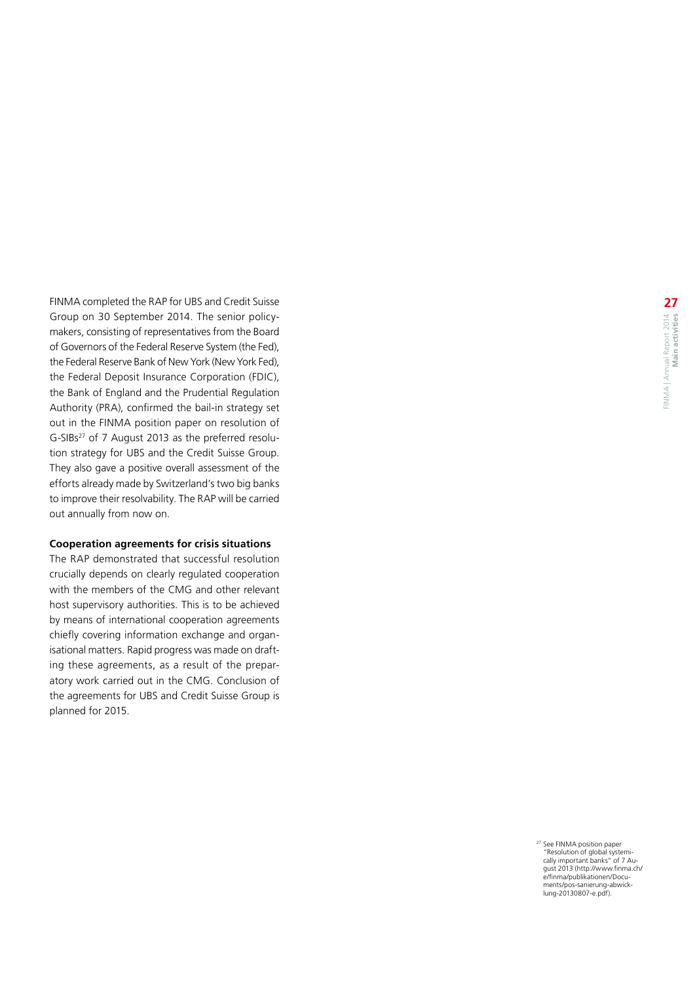FINMA completed the RAP for UBS and Credit Suisse Group on 30 September 2014. The senior policymakers, consisting of representatives from the Board of Governors of the Federal Reserve System (the Fed), the Federal Reserve Bank of New York (New York Fed), the Federal Deposit Insurance Corporation (FDIC), the Bank of England and the Prudential Regulation Authority (PRA), confirmed the bail -in strategy set out in the FINMA position paper on resolution of G-SIBs $^{27}$  of 7 August 2013 as the preferred resolution strategy for UBS and the Credit Suisse Group. They also gave a positive overall assessment of the efforts already made by Switzerland's two big banks to improve their resolvability. The RAP will be carried out annually from now on.

#### **Cooperation agreements for crisis situations**

The RAP demonstrated that successful resolution crucially depends on clearly regulated cooperation with the members of the CMG and other relevant host supervisory authorities. This is to be achieved by means of international cooperation agreements chiefly covering information exchange and organisational matters. Rapid progress was made on drafting these agreements, as a result of the preparatory work carried out in the CMG. Conclusion of the agreements for UBS and Credit Suisse Group is planned for 2015.

> <sup>27</sup> See FINMA position paper<br>"Resolution of global systemically important banks" of 7 Au-<br>gust 2013 (http://www.finma.ch<br>[e/finma/publikationen/Docu](http://www.finma.ch/e/finma/publikationen/Documents/pos-sanierung-abwicklung-20130807-e.pdf)-<br>ments/pos[-sanierung](http://www.finma.ch/e/finma/publikationen/Documents/pos-sanierung-abwicklung-20130807-e.pdf)-abwick-<br>lung[-20130807](http://www.finma.ch/e/finma/publikationen/Documents/pos-sanierung-abwicklung-20130807-e.pdf)-e.pdf).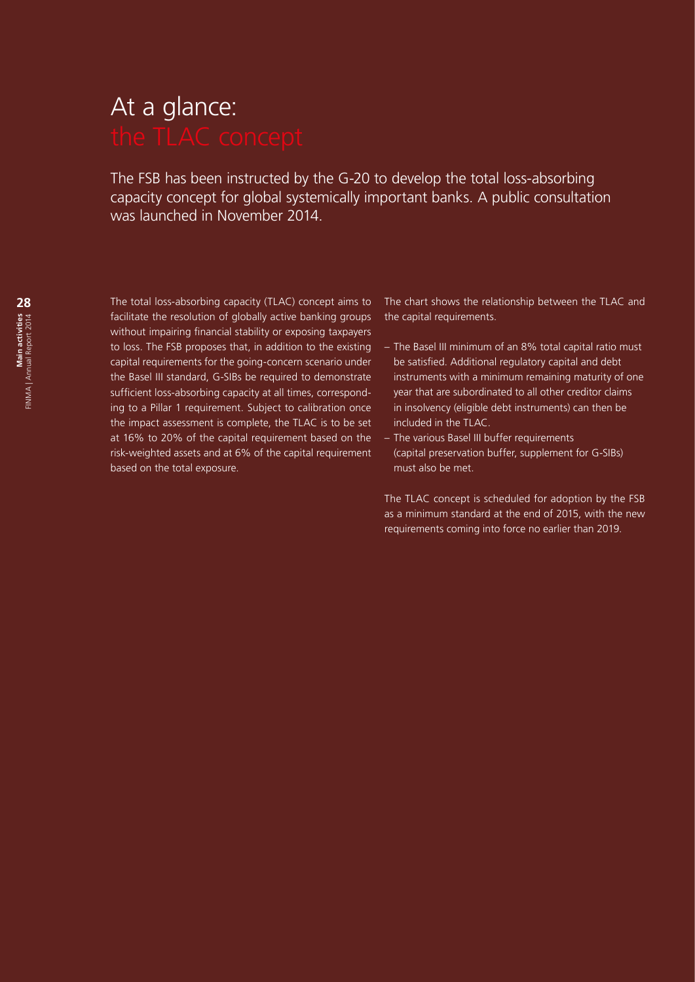# At a glance:

The FSB has been instructed by the G-20 to develop the total loss-absorbing capacity concept for global systemically important banks. A public consultation was launched in November 2014.

The total loss-absorbing capacity (TLAC) concept aims to facilitate the resolution of globally active banking groups without impairing financial stability or exposing taxpayers to loss. The FSB proposes that, in addition to the existing capital requirements for the going-concern scenario under the Basel III standard, G-SIBs be required to demonstrate sufficient loss-absorbing capacity at all times, corresponding to a Pillar 1 requirement. Subject to calibration once the impact assessment is complete, the TLAC is to be set at 16% to 20% of the capital requirement based on the risk-weighted assets and at 6% of the capital requirement based on the total exposure.

The chart shows the relationship between the TLAC and the capital requirements.

- The Basel III minimum of an 8% total capital ratio must be satisfied. Additional regulatory capital and debt instruments with a minimum remaining maturity of one year that are subordinated to all other creditor claims in insolvency (eligible debt instruments) can then be included in the TLAC.
- The various Basel III buffer requirements (capital preservation buffer, supplement for G-SIBs) must also be met.

The TLAC concept is scheduled for adoption by the FSB as a minimum standard at the end of 2015, with the new requirements coming into force no earlier than 2019.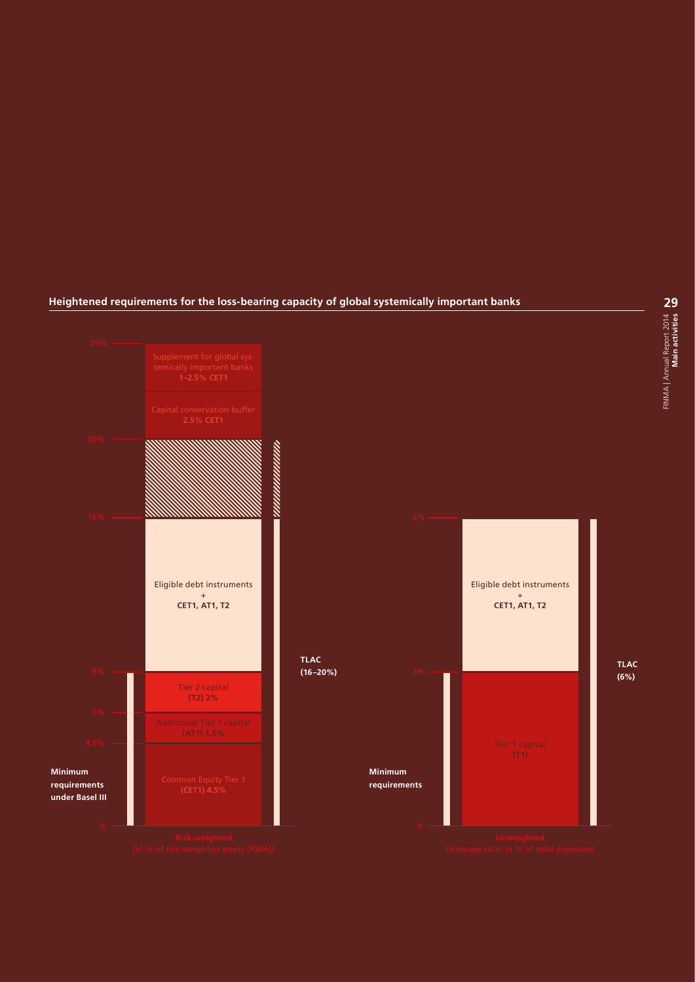#### **Heightened requirements for the loss-bearing capacity of global systemically important banks**

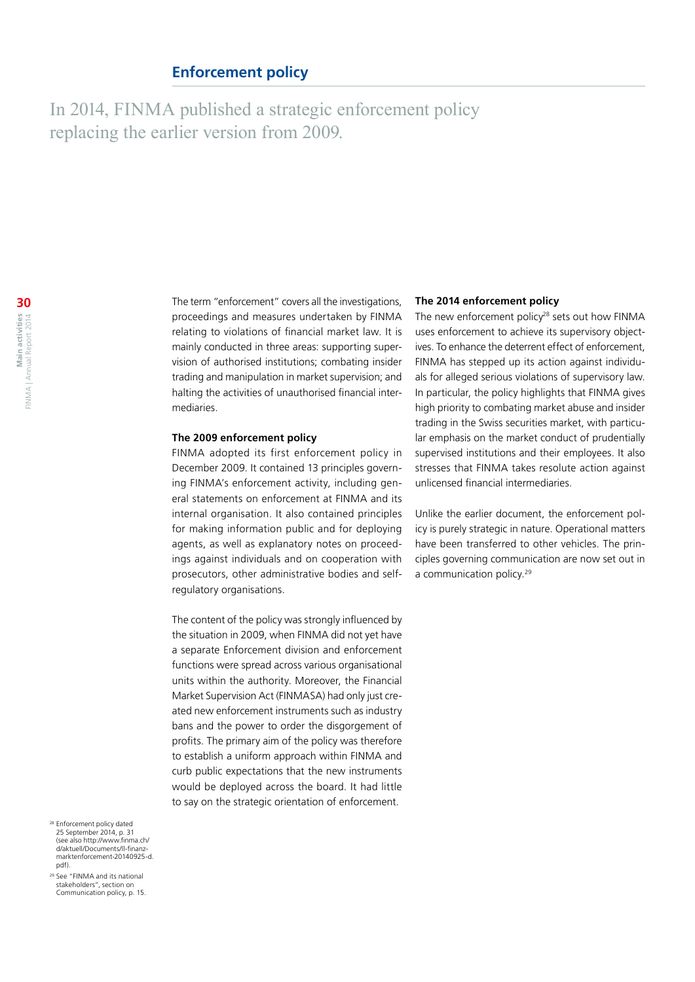#### **Enforcement policy**

In 2014, FINMA published a strategic enforcement policy replacing the earlier version from 2009.

> The term "enforcement" covers all the investigations, proceedings and measures undertaken by FINMA relating to violations of financial market law. It is mainly conducted in three areas: supporting supervision of authorised institutions; combating insider trading and manipulation in market supervision; and halting the activities of unauthorised financial intermediaries.

#### **The 2009 enforcement policy**

FINMA adopted its first enforcement policy in December 2009. It contained 13 principles governing FINMA's enforcement activity, including general statements on enforcement at FINMA and its internal organisation. It also contained principles for making information public and for deploying agents, as well as explanatory notes on proceedings against individuals and on cooperation with prosecutors, other administrative bodies and selfregulatory organisations.

The content of the policy was strongly influenced by the situation in 2009, when FINMA did not yet have a separate Enforcement division and enforcement functions were spread across various organisational units within the authority. Moreover, the Financial Market Supervision Act (FINMASA) had only just created new enforcement instruments such as industry bans and the power to order the disgorgement of profits. The primary aim of the policy was therefore to establish a uniform approach within FINMA and curb public expectations that the new instruments would be deployed across the board. It had little to say on the strategic orientation of enforcement.

#### **The 2014 enforcement policy**

The new enforcement policy<sup>28</sup> sets out how FINMA uses enforcement to achieve its supervisory objectives. To enhance the deterrent effect of enforcement, FINMA has stepped up its action against individuals for alleged serious violations of supervisory law. In particular, the policy highlights that FINMA gives high priority to combating market abuse and insider trading in the Swiss securities market, with particular emphasis on the market conduct of prudentially supervised institutions and their employees. It also stresses that FINMA takes resolute action against unlicensed financial intermediaries.

Unlike the earlier document, the enforcement policy is purely strategic in nature. Operational matters have been transferred to other vehicles. The principles governing communication are now set out in a communication policy.<sup>29</sup>

<sup>28</sup> Enforcement policy dated 25 September 2014, p. 31 (see also [http://www.finma.ch/](http://www.finma.ch/d/aktuell/Documents/ll-finanzmarktenforcement-20140925-d.pdf) [d/aktuell/Documents/ll-finanz](http://www.finma.ch/d/aktuell/Documents/ll-finanzmarktenforcement-20140925-d.pdf)[marktenforcement-20140925-d.](http://www.finma.ch/d/aktuell/Documents/ll-finanzmarktenforcement-20140925-d.pdf) [pdf](http://www.finma.ch/d/aktuell/Documents/ll-finanzmarktenforcement-20140925-d.pdf)).

<sup>29</sup> See "FINMA and its national stakeholders", section on Communication policy, p. 15.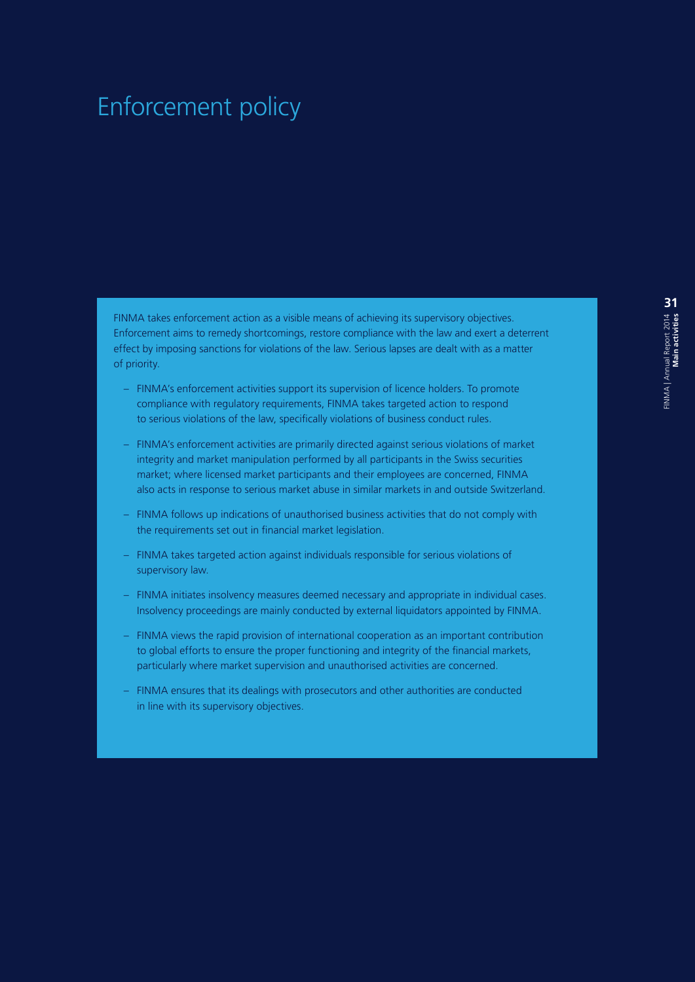### Enforcement policy

FINMA takes enforcement action as a visible means of achieving its supervisory objectives. Enforcement aims to remedy shortcomings, restore compliance with the law and exert a deterrent effect by imposing sanctions for violations of the law. Serious lapses are dealt with as a matter of priority.

- FINMA's enforcement activities support its supervision of licence holders. To promote compliance with regulatory requirements, FINMA takes targeted action to respond to serious violations of the law, specifically violations of business conduct rules.
- FINMA's enforcement activities are primarily directed against serious violations of market integrity and market manipulation performed by all participants in the Swiss securities market; where licensed market participants and their employees are concerned, FINMA also acts in response to serious market abuse in similar markets in and outside Switzerland.
- FINMA follows up indications of unauthorised business activities that do not comply with the requirements set out in financial market legislation.
- FINMA takes targeted action against individuals responsible for serious violations of supervisory law.
- FINMA initiates insolvency measures deemed necessary and appropriate in individual cases. Insolvency proceedings are mainly conducted by external liquidators appointed by FINMA.
- FINMA views the rapid provision of international cooperation as an important contribution to global efforts to ensure the proper functioning and integrity of the financial markets, particularly where market supervision and unauthorised activities are concerned.
- FINMA ensures that its dealings with prosecutors and other authorities are conducted in line with its supervisory objectives.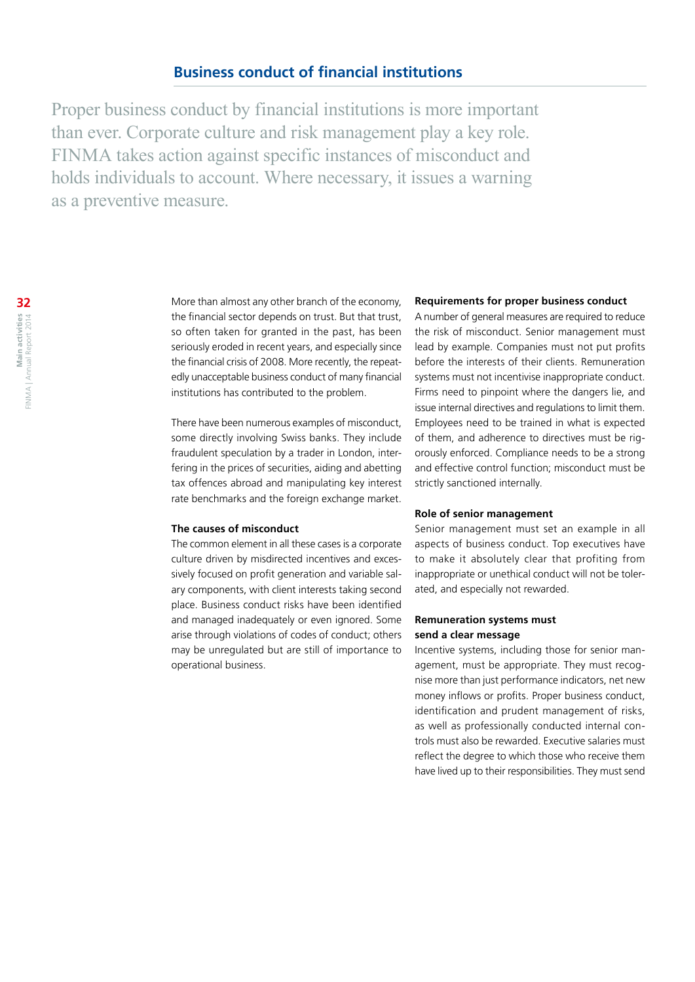Proper business conduct by financial institutions is more important than ever. Corporate culture and risk management play a key role. FINMA takes action against specific instances of misconduct and holds individuals to account. Where necessary, it issues a warning as a preventive measure.

> More than almost any other branch of the economy, the financial sector depends on trust. But that trust, so often taken for granted in the past, has been seriously eroded in recent years, and especially since the financial crisis of 2008. More recently, the repeatedly unacceptable business conduct of many financial institutions has contributed to the problem.

> There have been numerous examples of misconduct, some directly involving Swiss banks. They include fraudulent speculation by a trader in London, interfering in the prices of securities, aiding and abetting tax offences abroad and manipulating key interest rate benchmarks and the foreign exchange market.

#### **The causes of misconduct**

The common element in all these cases is a corporate culture driven by misdirected incentives and excessively focused on profit generation and variable salary components, with client interests taking second place. Business conduct risks have been identified and managed inadequately or even ignored. Some arise through violations of codes of conduct; others may be unregulated but are still of importance to operational business.

#### **Requirements for proper business conduct**

A number of general measures are required to reduce the risk of misconduct. Senior management must lead by example. Companies must not put profits before the interests of their clients. Remuneration systems must not incentivise inappropriate conduct. Firms need to pinpoint where the dangers lie, and issue internal directives and regulations to limit them. Employees need to be trained in what is expected of them, and adherence to directives must be rigorously enforced. Compliance needs to be a strong and effective control function; misconduct must be strictly sanctioned internally.

#### **Role of senior management**

Senior management must set an example in all aspects of business conduct. Top executives have to make it absolutely clear that profiting from inappropriate or unethical conduct will not be tolerated, and especially not rewarded.

#### **Remuneration systems must send a clear message**

Incentive systems, including those for senior management, must be appropriate. They must recognise more than just performance indicators, net new money inflows or profits. Proper business conduct, identification and prudent management of risks, as well as professionally conducted internal controls must also be rewarded. Executive salaries must reflect the degree to which those who receive them have lived up to their responsibilities. They must send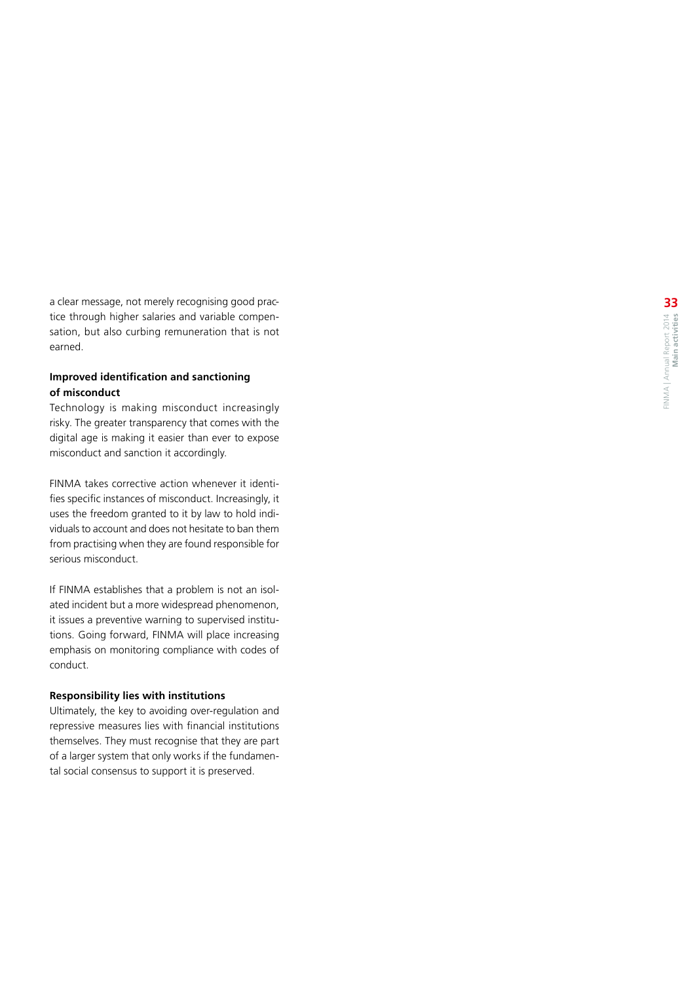a clear message, not merely recognising good practice through higher salaries and variable compensation, but also curbing remuneration that is not earned.

#### **Improved identification and sanctioning of misconduct**

Technology is making misconduct increasingly risky. The greater transparency that comes with the digital age is making it easier than ever to expose misconduct and sanction it accordingly.

FINMA takes corrective action whenever it identi fies specific instances of misconduct. Increasingly, it uses the freedom granted to it by law to hold individuals to account and does not hesitate to ban them from practising when they are found responsible for serious misconduct.

If FINMA establishes that a problem is not an isolated incident but a more widespread phenomenon, it issues a preventive warning to supervised institu tions. Going forward, FINMA will place increasing emphasis on monitoring compliance with codes of conduct.

#### **Responsibility lies with institutions**

Ultimately, the key to avoiding over -regulation and repressive measures lies with financial institutions themselves. They must recognise that they are part of a larger system that only works if the fundamen tal social consensus to support it is preserved.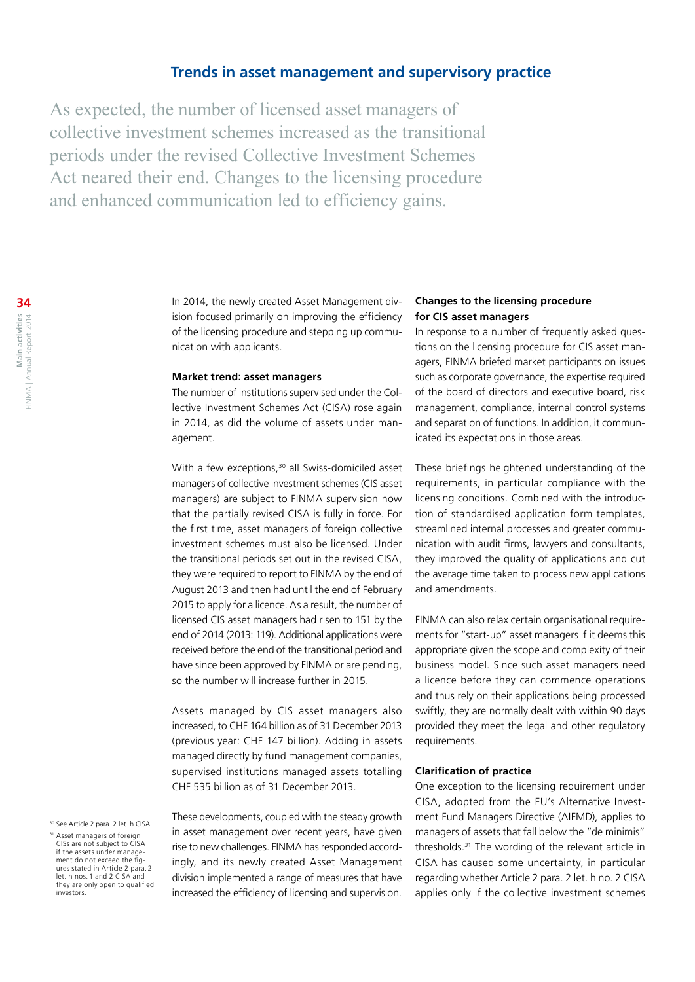#### **Trends in asset management and supervisory practice**

As expected, the number of licensed asset managers of collective investment schemes increased as the transitional periods under the revised Collective Investment Schemes Act neared their end. Changes to the licensing procedure and enhanced communication led to efficiency gains.

> In 2014, the newly created Asset Management division focused primarily on improving the efficiency of the licensing procedure and stepping up communication with applicants.

#### **Market trend: asset managers**

The number of institutions supervised under the Collective Investment Schemes Act (CISA) rose again in 2014, as did the volume of assets under management.

With a few exceptions, $30$  all Swiss-domiciled asset managers of collective investment schemes (CIS asset managers) are subject to FINMA supervision now that the partially revised CISA is fully in force. For the first time, asset managers of foreign collective investment schemes must also be licensed. Under the transitional periods set out in the revised CISA, they were required to report to FINMA by the end of August 2013 and then had until the end of February 2015 to apply for a licence. As a result, the number of licensed CIS asset managers had risen to 151 by the end of 2014 (2013: 119). Additional applications were received before the end of the transitional period and have since been approved by FINMA or are pending, so the number will increase further in 2015.

Assets managed by CIS asset managers also increased, to CHF 164 billion as of 31 December 2013 (previous year: CHF 147 billion). Adding in assets managed directly by fund management companies, supervised institutions managed assets totalling CHF 535 billion as of 31 December 2013.

<sup>30</sup> See Article 2 para. 2 let. h CISA

These developments, coupled with the steady growth in asset management over recent years, have given rise to new challenges. FINMA has responded accordingly, and its newly created Asset Management division implemented a range of measures that have increased the efficiency of licensing and supervision.

#### **Changes to the licensing procedure for CIS asset managers**

In response to a number of frequently asked questions on the licensing procedure for CIS asset managers, FINMA briefed market participants on issues such as corporate governance, the expertise required of the board of directors and executive board, risk management, compliance, internal control systems and separation of functions. In addition, it communicated its expectations in those areas.

These briefings heightened understanding of the requirements, in particular compliance with the licensing conditions. Combined with the introduction of standardised application form templates, streamlined internal processes and greater communication with audit firms, lawyers and consultants, they improved the quality of applications and cut the average time taken to process new applications and amendments.

FINMA can also relax certain organisational requirements for "start-up" asset managers if it deems this appropriate given the scope and complexity of their business model. Since such asset managers need a licence before they can commence operations and thus rely on their applications being processed swiftly, they are normally dealt with within 90 days provided they meet the legal and other regulatory requirements.

#### **Clarification of practice**

One exception to the licensing requirement under CISA, adopted from the EU's Alternative Investment Fund Managers Directive (AIFMD), applies to managers of assets that fall below the "de minimis" thresholds.31 The wording of the relevant article in CISA has caused some uncertainty, in particular regarding whether Article 2 para. 2 let. h no. 2 CISA applies only if the collective investment schemes

<sup>&</sup>lt;sup>31</sup> Asset managers of foreign CISs are not subject to CISA if the assets under management do not exceed the figures stated in Article 2 para. 2 let. h nos. 1 and 2 CISA and they are only open to qualified investors.